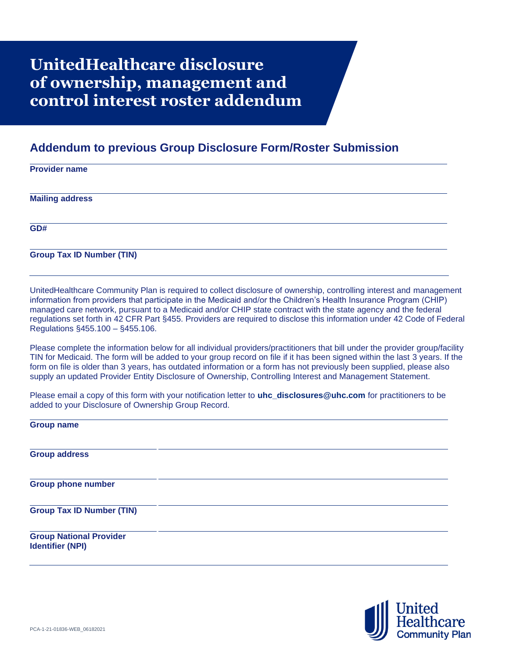## **UnitedHealthcare disclosure of ownership, management and control interest roster addendum**

## **Addendum to previous Group Disclosure Form/Roster Submission**

## **Provider name Mailing address GD#**

**Group Tax ID Number (TIN)**

UnitedHealthcare Community Plan is required to collect disclosure of ownership, controlling interest and management information from providers that participate in the Medicaid and/or the Children's Health Insurance Program (CHIP) managed care network, pursuant to a Medicaid and/or CHIP state contract with the state agency and the federal regulations set forth in 42 CFR Part §455. Providers are required to disclose this information under 42 Code of Federal Regulations §455.100 – §455.106.

Please complete the information below for all individual providers/practitioners that bill under the provider group/facility TIN for Medicaid. The form will be added to your group record on file if it has been signed within the last 3 years. If the form on file is older than 3 years, has outdated information or a form has not previously been supplied, please also supply an updated Provider Entity Disclosure of Ownership, Controlling Interest and Management Statement.

Please email a copy of this form with your notification letter to **[uhc\\_disclosures@uhc.com](mailto:uhc_disclosures@uhc.com)** for practitioners to be added to your Disclosure of Ownership Group Record.

**Group name**

**Group address**

**Group phone number**

**Group Tax ID Number (TIN)**

**Group National Provider Identifier (NPI)**